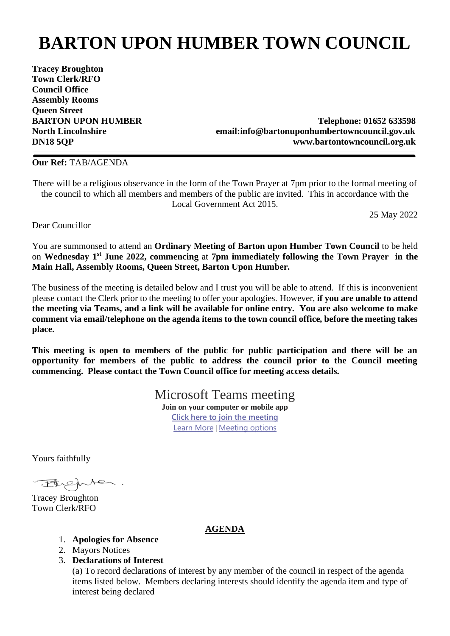## **BARTON UPON HUMBER TOWN COUNCIL**

**Tracey Broughton Town Clerk/RFO Council Office Assembly Rooms Queen Street**

**BARTON UPON HUMBER** Telephone: 01652 633598 **North Lincolnshire email:info@bartonuponhumbertowncouncil.gov.uk DN18 5QP www.bartontowncouncil.org.uk**

## **Our Ref:** TAB/AGENDA

There will be a religious observance in the form of the Town Prayer at 7pm prior to the formal meeting of the council to which all members and members of the public are invited. This in accordance with the Local Government Act 2015.

25 May 2022

Dear Councillor

You are summonsed to attend an **Ordinary Meeting of Barton upon Humber Town Council** to be held on **Wednesday 1 st June 2022, commencing** at **7pm immediately following the Town Prayer in the Main Hall, Assembly Rooms, Queen Street, Barton Upon Humber.** 

The business of the meeting is detailed below and I trust you will be able to attend. If this is inconvenient please contact the Clerk prior to the meeting to offer your apologies. However, **if you are unable to attend the meeting via Teams, and a link will be available for online entry. You are also welcome to make comment via email/telephone on the agenda items to the town council office, before the meeting takes place.**

**This meeting is open to members of the public for public participation and there will be an opportunity for members of the public to address the council prior to the Council meeting commencing. Please contact the Town Council office for meeting access details.** 

> Microsoft Teams meeting **Join on your computer or mobile app [Click here to join the meeting](https://teams.microsoft.com/l/meetup-join/19%3a21462d8a44e04245ad7282cba55a67a0%40thread.tacv2/1653298104778?context=%7b%22Tid%22%3a%22044d0e21-a81f-463a-b369-a8db7b6dab46%22%2c%22Oid%22%3a%227d1af9aa-2513-4d38-a2d5-69d3aa501c5b%22%7d)** [Learn More](https://aka.ms/JoinTeamsMeeting) | [Meeting options](https://teams.microsoft.com/meetingOptions/?organizerId=7d1af9aa-2513-4d38-a2d5-69d3aa501c5b&tenantId=044d0e21-a81f-463a-b369-a8db7b6dab46&threadId=19_21462d8a44e04245ad7282cba55a67a0@thread.tacv2&messageId=1653298104778&language=en-US)

Yours faithfully

Behter.

Tracey Broughton Town Clerk/RFO

## **AGENDA**

- 1. **Apologies for Absence**
- 2. Mayors Notices
- 3. **Declarations of Interest**

(a) To record declarations of interest by any member of the council in respect of the agenda items listed below.Members declaring interests should identify the agenda item and type of interest being declared